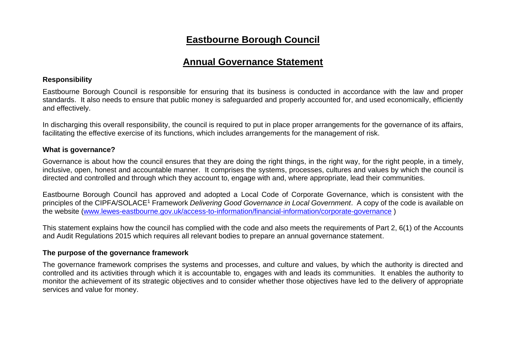## **Eastbourne Borough Council**

### **Annual Governance Statement**

#### **Responsibility**

Eastbourne Borough Council is responsible for ensuring that its business is conducted in accordance with the law and proper standards. It also needs to ensure that public money is safeguarded and properly accounted for, and used economically, efficiently and effectively.

In discharging this overall responsibility, the council is required to put in place proper arrangements for the governance of its affairs, facilitating the effective exercise of its functions, which includes arrangements for the management of risk.

#### **What is governance?**

Governance is about how the council ensures that they are doing the right things, in the right way, for the right people, in a timely, inclusive, open, honest and accountable manner. It comprises the systems, processes, cultures and values by which the council is directed and controlled and through which they account to, engage with and, where appropriate, lead their communities.

Eastbourne Borough Council has approved and adopted a Local Code of Corporate Governance, which is consistent with the principles of the CIPFA/SOLACE<sup>1</sup> Framework *Delivering Good Governance in Local Government*. A copy of the code is available on the website [\(www.lewes-eastbourne.gov.uk/access-to-information/financial-information/corporate-governance](http://www.lewes-eastbourne.gov.uk/access-to-information/financial-information/corporate-governance) )

This statement explains how the council has complied with the code and also meets the requirements of Part 2, 6(1) of the Accounts and Audit Regulations 2015 which requires all relevant bodies to prepare an annual governance statement.

#### **The purpose of the governance framework**

The governance framework comprises the systems and processes, and culture and values, by which the authority is directed and controlled and its activities through which it is accountable to, engages with and leads its communities. It enables the authority to monitor the achievement of its strategic objectives and to consider whether those objectives have led to the delivery of appropriate services and value for money.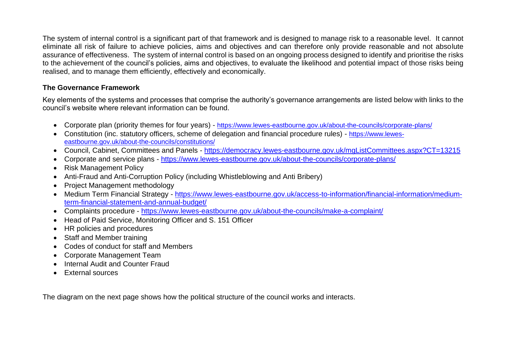The system of internal control is a significant part of that framework and is designed to manage risk to a reasonable level. It cannot eliminate all risk of failure to achieve policies, aims and objectives and can therefore only provide reasonable and not absolute assurance of effectiveness. The system of internal control is based on an ongoing process designed to identify and prioritise the risks to the achievement of the council's policies, aims and objectives, to evaluate the likelihood and potential impact of those risks being realised, and to manage them efficiently, effectively and economically.

#### **The Governance Framework**

Key elements of the systems and processes that comprise the authority's governance arrangements are listed below with links to the council's website where relevant information can be found.

- Corporate plan (priority themes for four years) <https://www.lewes-eastbourne.gov.uk/about-the-councils/corporate-plans/>
- Constitution (inc. statutory officers, scheme of delegation and financial procedure rules) [https://www.lewes](https://www.lewes-eastbourne.gov.uk/about-the-councils/constitutions/)[eastbourne.gov.uk/about-the-councils/constitutions/](https://www.lewes-eastbourne.gov.uk/about-the-councils/constitutions/)
- Council, Cabinet, Committees and Panels <https://democracy.lewes-eastbourne.gov.uk/mgListCommittees.aspx?CT=13215>
- Corporate and service plans <https://www.lewes-eastbourne.gov.uk/about-the-councils/corporate-plans/>
- Risk Management Policy
- Anti-Fraud and Anti-Corruption Policy (including Whistleblowing and Anti Bribery)
- Project Management methodology
- Medium Term Financial Strategy [https://www.lewes-eastbourne.gov.uk/access-to-information/financial-information/medium](https://www.lewes-eastbourne.gov.uk/access-to-information/financial-information/medium-term-financial-statement-and-annual-budget/)[term-financial-statement-and-annual-budget/](https://www.lewes-eastbourne.gov.uk/access-to-information/financial-information/medium-term-financial-statement-and-annual-budget/)
- Complaints procedure <https://www.lewes-eastbourne.gov.uk/about-the-councils/make-a-complaint/>
- Head of Paid Service, Monitoring Officer and S. 151 Officer
- HR policies and procedures
- Staff and Member training
- Codes of conduct for staff and Members
- Corporate Management Team
- Internal Audit and Counter Fraud
- External sources

The diagram on the next page shows how the political structure of the council works and interacts.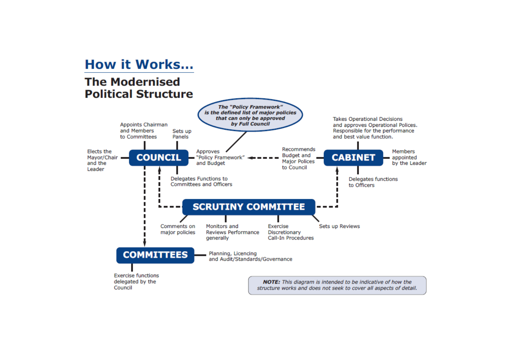# **How it Works...**

## **The Modernised Political Structure**

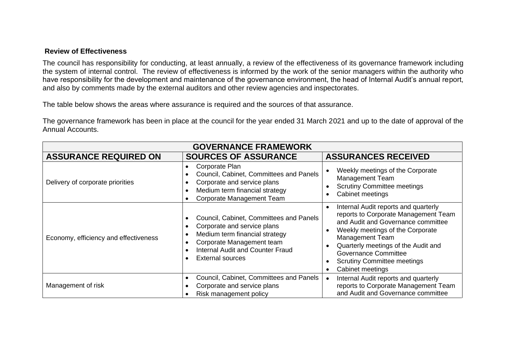#### **Review of Effectiveness**

The council has responsibility for conducting, at least annually, a review of the effectiveness of its governance framework including the system of internal control. The review of effectiveness is informed by the work of the senior managers within the authority who have responsibility for the development and maintenance of the governance environment, the head of Internal Audit's annual report, and also by comments made by the external auditors and other review agencies and inspectorates.

The table below shows the areas where assurance is required and the sources of that assurance.

The governance framework has been in place at the council for the year ended 31 March 2021 and up to the date of approval of the Annual Accounts.

| <b>GOVERNANCE FRAMEWORK</b>           |                                                                                                                                                                                                      |                                                                                                                                                                                                                                                                                                                  |  |  |  |
|---------------------------------------|------------------------------------------------------------------------------------------------------------------------------------------------------------------------------------------------------|------------------------------------------------------------------------------------------------------------------------------------------------------------------------------------------------------------------------------------------------------------------------------------------------------------------|--|--|--|
| <b>ASSURANCE REQUIRED ON</b>          | <b>SOURCES OF ASSURANCE</b>                                                                                                                                                                          | <b>ASSURANCES RECEIVED</b>                                                                                                                                                                                                                                                                                       |  |  |  |
| Delivery of corporate priorities      | Corporate Plan<br>Council, Cabinet, Committees and Panels<br>Corporate and service plans<br>Medium term financial strategy<br>Corporate Management Team                                              | Weekly meetings of the Corporate<br><b>Management Team</b><br><b>Scrutiny Committee meetings</b><br>Cabinet meetings                                                                                                                                                                                             |  |  |  |
| Economy, efficiency and effectiveness | Council, Cabinet, Committees and Panels<br>Corporate and service plans<br>Medium term financial strategy<br>Corporate Management team<br>Internal Audit and Counter Fraud<br><b>External sources</b> | Internal Audit reports and quarterly<br>reports to Corporate Management Team<br>and Audit and Governance committee<br>Weekly meetings of the Corporate<br><b>Management Team</b><br>Quarterly meetings of the Audit and<br><b>Governance Committee</b><br><b>Scrutiny Committee meetings</b><br>Cabinet meetings |  |  |  |
| Management of risk                    | Council, Cabinet, Committees and Panels<br>Corporate and service plans<br>Risk management policy                                                                                                     | Internal Audit reports and quarterly<br>reports to Corporate Management Team<br>and Audit and Governance committee                                                                                                                                                                                               |  |  |  |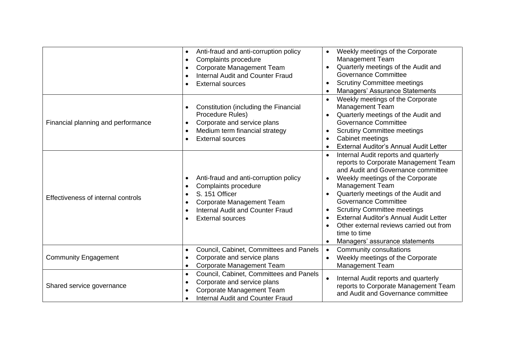|                                    | Anti-fraud and anti-corruption policy<br>$\bullet$<br>Complaints procedure<br>$\bullet$<br>Corporate Management Team<br>$\bullet$<br><b>Internal Audit and Counter Fraud</b><br><b>External sources</b> | Weekly meetings of the Corporate<br>$\bullet$<br><b>Management Team</b><br>Quarterly meetings of the Audit and<br><b>Governance Committee</b><br><b>Scrutiny Committee meetings</b><br>Managers' Assurance Statements                                                                                                                                                                                                                                                |
|------------------------------------|---------------------------------------------------------------------------------------------------------------------------------------------------------------------------------------------------------|----------------------------------------------------------------------------------------------------------------------------------------------------------------------------------------------------------------------------------------------------------------------------------------------------------------------------------------------------------------------------------------------------------------------------------------------------------------------|
| Financial planning and performance | Constitution (including the Financial<br>Procedure Rules)<br>Corporate and service plans<br>$\bullet$<br>Medium term financial strategy<br>$\bullet$<br><b>External sources</b>                         | Weekly meetings of the Corporate<br>$\bullet$<br><b>Management Team</b><br>Quarterly meetings of the Audit and<br><b>Governance Committee</b><br><b>Scrutiny Committee meetings</b><br>$\bullet$<br>Cabinet meetings<br>$\bullet$<br>External Auditor's Annual Audit Letter                                                                                                                                                                                          |
| Effectiveness of internal controls | Anti-fraud and anti-corruption policy<br>$\bullet$<br>Complaints procedure<br>S. 151 Officer<br>Corporate Management Team<br><b>Internal Audit and Counter Fraud</b><br><b>External sources</b>         | Internal Audit reports and quarterly<br>$\bullet$<br>reports to Corporate Management Team<br>and Audit and Governance committee<br>Weekly meetings of the Corporate<br><b>Management Team</b><br>Quarterly meetings of the Audit and<br><b>Governance Committee</b><br><b>Scrutiny Committee meetings</b><br>$\bullet$<br><b>External Auditor's Annual Audit Letter</b><br>Other external reviews carried out from<br>time to time<br>Managers' assurance statements |
| <b>Community Engagement</b>        | Council, Cabinet, Committees and Panels<br>Corporate and service plans<br>$\bullet$<br><b>Corporate Management Team</b><br>$\bullet$                                                                    | Community consultations<br>Weekly meetings of the Corporate<br><b>Management Team</b>                                                                                                                                                                                                                                                                                                                                                                                |
| Shared service governance          | Council, Cabinet, Committees and Panels<br>$\bullet$<br>Corporate and service plans<br>Corporate Management Team<br><b>Internal Audit and Counter Fraud</b>                                             | Internal Audit reports and quarterly<br>reports to Corporate Management Team<br>and Audit and Governance committee                                                                                                                                                                                                                                                                                                                                                   |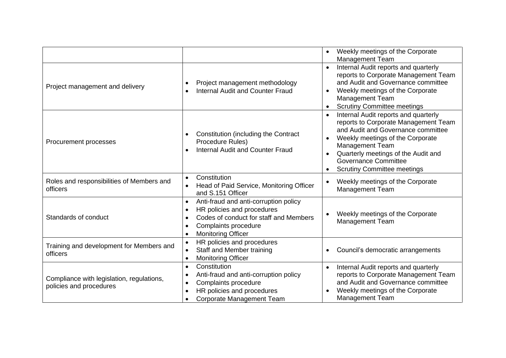|                                                                      |                                                                                                                                                                                                           | Weekly meetings of the Corporate<br><b>Management Team</b>                                                                                                                                                                                                                                   |
|----------------------------------------------------------------------|-----------------------------------------------------------------------------------------------------------------------------------------------------------------------------------------------------------|----------------------------------------------------------------------------------------------------------------------------------------------------------------------------------------------------------------------------------------------------------------------------------------------|
| Project management and delivery                                      | Project management methodology<br><b>Internal Audit and Counter Fraud</b>                                                                                                                                 | Internal Audit reports and quarterly<br>$\bullet$<br>reports to Corporate Management Team<br>and Audit and Governance committee<br>Weekly meetings of the Corporate<br><b>Management Team</b><br><b>Scrutiny Committee meetings</b>                                                          |
| Procurement processes                                                | Constitution (including the Contract<br>Procedure Rules)<br><b>Internal Audit and Counter Fraud</b><br>$\bullet$                                                                                          | Internal Audit reports and quarterly<br>reports to Corporate Management Team<br>and Audit and Governance committee<br>Weekly meetings of the Corporate<br><b>Management Team</b><br>Quarterly meetings of the Audit and<br><b>Governance Committee</b><br><b>Scrutiny Committee meetings</b> |
| Roles and responsibilities of Members and<br>officers                | Constitution<br>$\bullet$<br>Head of Paid Service, Monitoring Officer<br>and S.151 Officer                                                                                                                | Weekly meetings of the Corporate<br>Management Team                                                                                                                                                                                                                                          |
| Standards of conduct                                                 | Anti-fraud and anti-corruption policy<br>$\bullet$<br>HR policies and procedures<br>$\bullet$<br>Codes of conduct for staff and Members<br>Complaints procedure<br>$\bullet$<br><b>Monitoring Officer</b> | Weekly meetings of the Corporate<br><b>Management Team</b>                                                                                                                                                                                                                                   |
| Training and development for Members and<br>officers                 | HR policies and procedures<br>$\bullet$<br>Staff and Member training<br>$\bullet$<br><b>Monitoring Officer</b><br>$\bullet$                                                                               | Council's democratic arrangements                                                                                                                                                                                                                                                            |
| Compliance with legislation, regulations,<br>policies and procedures | Constitution<br>$\bullet$<br>Anti-fraud and anti-corruption policy<br>$\bullet$<br>Complaints procedure<br>HR policies and procedures<br>Corporate Management Team                                        | Internal Audit reports and quarterly<br>reports to Corporate Management Team<br>and Audit and Governance committee<br>Weekly meetings of the Corporate<br><b>Management Team</b>                                                                                                             |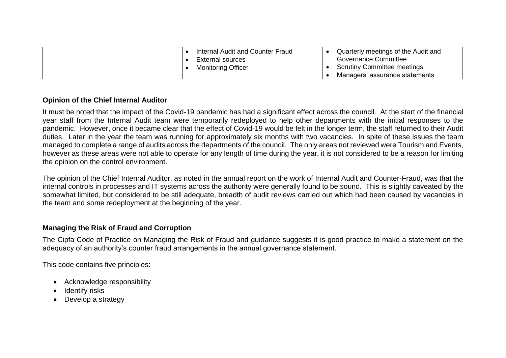| Internal Audit and Counter Fraud<br>External sources | Quarterly meetings of the Audit and<br>Governance Committee |
|------------------------------------------------------|-------------------------------------------------------------|
| <b>Monitoring Officer</b>                            | <b>Scrutiny Committee meetings</b>                          |
|                                                      | Managers' assurance statements                              |

#### **Opinion of the Chief Internal Auditor**

It must be noted that the impact of the Covid-19 pandemic has had a significant effect across the council. At the start of the financial year staff from the Internal Audit team were temporarily redeployed to help other departments with the initial responses to the pandemic. However, once it became clear that the effect of Covid-19 would be felt in the longer term, the staff returned to their Audit duties. Later in the year the team was running for approximately six months with two vacancies. In spite of these issues the team managed to complete a range of audits across the departments of the council. The only areas not reviewed were Tourism and Events, however as these areas were not able to operate for any length of time during the year, it is not considered to be a reason for limiting the opinion on the control environment.

The opinion of the Chief Internal Auditor, as noted in the annual report on the work of Internal Audit and Counter-Fraud, was that the internal controls in processes and IT systems across the authority were generally found to be sound. This is slightly caveated by the somewhat limited, but considered to be still adequate, breadth of audit reviews carried out which had been caused by vacancies in the team and some redeployment at the beginning of the year.

#### **Managing the Risk of Fraud and Corruption**

The Cipfa Code of Practice on Managing the Risk of Fraud and guidance suggests it is good practice to make a statement on the adequacy of an authority's counter fraud arrangements in the annual governance statement.

This code contains five principles:

- Acknowledge responsibility
- Identify risks
- Develop a strategy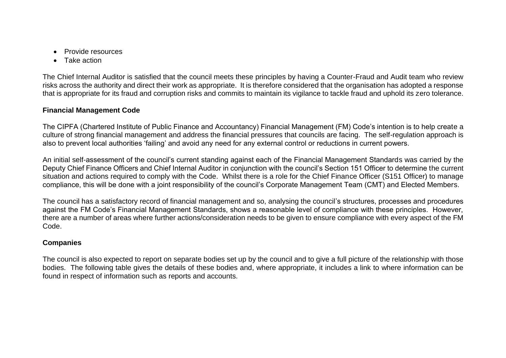- Provide resources
- Take action

The Chief Internal Auditor is satisfied that the council meets these principles by having a Counter-Fraud and Audit team who review risks across the authority and direct their work as appropriate. It is therefore considered that the organisation has adopted a response that is appropriate for its fraud and corruption risks and commits to maintain its vigilance to tackle fraud and uphold its zero tolerance.

#### **Financial Management Code**

The CIPFA (Chartered Institute of Public Finance and Accountancy) Financial Management (FM) Code's intention is to help create a culture of strong financial management and address the financial pressures that councils are facing. The self-regulation approach is also to prevent local authorities 'failing' and avoid any need for any external control or reductions in current powers.

An initial self-assessment of the council's current standing against each of the Financial Management Standards was carried by the Deputy Chief Finance Officers and Chief Internal Auditor in conjunction with the council's Section 151 Officer to determine the current situation and actions required to comply with the Code. Whilst there is a role for the Chief Finance Officer (S151 Officer) to manage compliance, this will be done with a joint responsibility of the council's Corporate Management Team (CMT) and Elected Members.

The council has a satisfactory record of financial management and so, analysing the council's structures, processes and procedures against the FM Code's Financial Management Standards, shows a reasonable level of compliance with these principles. However, there are a number of areas where further actions/consideration needs to be given to ensure compliance with every aspect of the FM Code.

#### **Companies**

The council is also expected to report on separate bodies set up by the council and to give a full picture of the relationship with those bodies. The following table gives the details of these bodies and, where appropriate, it includes a link to where information can be found in respect of information such as reports and accounts.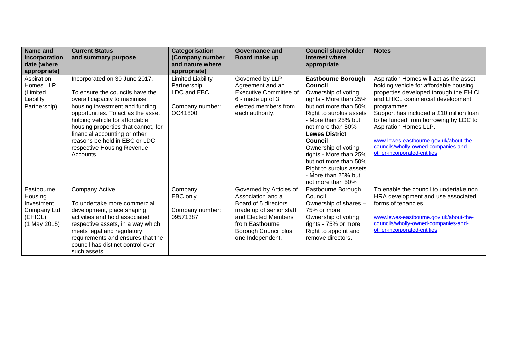| Name and                  | <b>Current Status</b>                                          | Categorisation   | Governance and                           | <b>Council shareholder</b>                      | <b>Notes</b>                                                        |
|---------------------------|----------------------------------------------------------------|------------------|------------------------------------------|-------------------------------------------------|---------------------------------------------------------------------|
| incorporation             | and summary purpose                                            | (Company number  | Board make up                            | interest where                                  |                                                                     |
| date (where               |                                                                | and nature where |                                          | appropriate                                     |                                                                     |
| appropriate)              |                                                                | appropriate)     |                                          |                                                 |                                                                     |
| Aspiration                | Incorporated on 30 June 2017.                                  | imited Liability | Governed by LLP                          | <b>Eastbourne Borough</b>                       | Aspiration Homes will act as the asset                              |
| Homes LLP                 |                                                                | Partnership      | Agreement and an                         | Council                                         | holding vehicle for affordable housing                              |
| (Limited                  | To ensure the councils have the                                | LDC and EBC      | <b>Executive Committee of</b>            | Ownership of voting                             | properties developed through the EHICL                              |
| Liability<br>Partnership) | overall capacity to maximise<br>housing investment and funding | Company number:  | 6 - made up of 3<br>elected members from | rights - More than 25%<br>but not more than 50% | and LHICL commercial development                                    |
|                           | opportunities. To act as the asset                             | OC41800          | each authority.                          | Right to surplus assets                         | programmes.<br>Support has included a £10 million loan              |
|                           | holding vehicle for affordable                                 |                  |                                          | - More than 25% but                             | to be funded from borrowing by LDC to                               |
|                           | housing properties that cannot, for                            |                  |                                          | not more than 50%                               | Aspiration Homes LLP.                                               |
|                           | financial accounting or other                                  |                  |                                          | <b>Lewes District</b>                           |                                                                     |
|                           | reasons be held in EBC or LDC                                  |                  |                                          | Council                                         | www.lewes-eastbourne.gov.uk/about-the-                              |
|                           | respective Housing Revenue                                     |                  |                                          | Ownership of voting                             | councils/wholly-owned-companies-and-                                |
|                           | Accounts.                                                      |                  |                                          | rights - More than 25%                          | other-incorporated-entities                                         |
|                           |                                                                |                  |                                          | but not more than 50%                           |                                                                     |
|                           |                                                                |                  |                                          | Right to surplus assets                         |                                                                     |
|                           |                                                                |                  |                                          | - More than 25% but                             |                                                                     |
|                           |                                                                |                  |                                          | not more than 50%                               |                                                                     |
| Eastbourne                | <b>Company Active</b>                                          | Company          | Governed by Articles of                  | Eastbourne Borough                              | To enable the council to undertake non                              |
| Housing                   |                                                                | EBC only.        | Association and a                        | Council.                                        | HRA development and use associated                                  |
| Investment                | To undertake more commercial                                   |                  | Board of 5 directors                     | Ownership of shares -                           | forms of tenancies.                                                 |
| Company Ltd               | development, place shaping                                     | Company number:  | made up of senior staff                  | 75% or more                                     |                                                                     |
| (EHICL)                   | activities and hold associated                                 | 09571387         | and Elected Members                      | Ownership of voting                             | www.lewes-eastbourne.gov.uk/about-the-                              |
| (1 May 2015)              | respective assets, in a way which                              |                  | from Eastbourne                          | rights - 75% or more                            | councils/wholly-owned-companies-and-<br>other-incorporated-entities |
|                           | meets legal and regulatory                                     |                  | Borough Council plus                     | Right to appoint and                            |                                                                     |
|                           | requirements and ensures that the                              |                  | one Independent.                         | remove directors.                               |                                                                     |
|                           | council has distinct control over                              |                  |                                          |                                                 |                                                                     |
|                           | such assets.                                                   |                  |                                          |                                                 |                                                                     |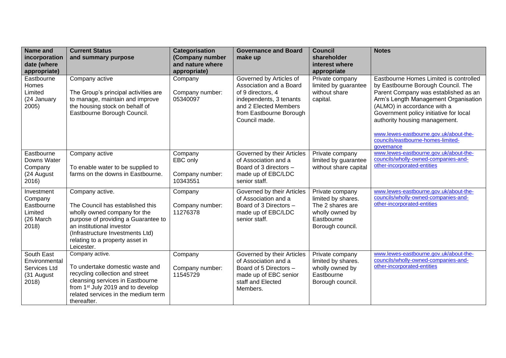| Name and<br>incorporation                                            | <b>Current Status</b><br>and summary purpose                                                                                                                                                                                                 | Categorisation<br>(Company number                  | <b>Governance and Board</b><br>make up                                                                                                                                  | <b>Council</b><br>shareholder                                                                                  | <b>Notes</b>                                                                                                                                                                                                                                                                                                                                                         |
|----------------------------------------------------------------------|----------------------------------------------------------------------------------------------------------------------------------------------------------------------------------------------------------------------------------------------|----------------------------------------------------|-------------------------------------------------------------------------------------------------------------------------------------------------------------------------|----------------------------------------------------------------------------------------------------------------|----------------------------------------------------------------------------------------------------------------------------------------------------------------------------------------------------------------------------------------------------------------------------------------------------------------------------------------------------------------------|
| date (where<br>appropriate)                                          |                                                                                                                                                                                                                                              | and nature where<br>appropriate)                   |                                                                                                                                                                         | interest where<br>appropriate                                                                                  |                                                                                                                                                                                                                                                                                                                                                                      |
| Eastbourne<br>Homes<br>Limited<br>(24 January<br>2005)               | Company active<br>The Group's principal activities are<br>to manage, maintain and improve<br>the housing stock on behalf of<br>Eastbourne Borough Council.                                                                                   | Company<br>Company number:<br>05340097             | Governed by Articles of<br>Association and a Board<br>of 9 directors, 4<br>independents, 3 tenants<br>and 2 Elected Members<br>from Eastbourne Borough<br>Council made. | Private company<br>limited by guarantee<br>without share<br>capital.                                           | Eastbourne Homes Limited is controlled<br>by Eastbourne Borough Council. The<br>Parent Company was established as an<br>Arm's Length Management Organisation<br>(ALMO) in accordance with a<br>Government policy initiative for local<br>authority housing management.<br>www.lewes-eastbourne.gov.uk/about-the-<br>councils/eastbourne-homes-limited-<br>qovernance |
| Eastbourne<br>Downs Water<br>Company<br>(24 August<br>2016)          | Company active<br>To enable water to be supplied to<br>farms on the downs in Eastbourne.                                                                                                                                                     | Company<br>EBC only<br>Company number:<br>10343551 | Governed by their Articles<br>of Association and a<br>Board of 3 directors -<br>made up of EBC/LDC<br>senior staff.                                                     | Private company<br>limited by guarantee<br>without share capital                                               | www.lewes-eastbourne.gov.uk/about-the-<br>councils/wholly-owned-companies-and-<br>other-incorporated-entities                                                                                                                                                                                                                                                        |
| Investment<br>Company<br>Eastbourne<br>Limited<br>(26 March<br>2018) | Company active.<br>The Council has established this<br>wholly owned company for the<br>purpose of providing a Guarantee to<br>an institutional investor<br>(Infrastructure Investments Ltd)<br>relating to a property asset in<br>Leicester. | Company<br>Company number:<br>11276378             | Governed by their Articles<br>of Association and a<br>Board of 3 Directors -<br>made up of EBC/LDC<br>senior staff.                                                     | Private company<br>limited by shares.<br>The 2 shares are<br>wholly owned by<br>Eastbourne<br>Borough council. | www.lewes-eastbourne.gov.uk/about-the-<br>councils/wholly-owned-companies-and-<br>other-incorporated-entities                                                                                                                                                                                                                                                        |
| South East<br>Environmental<br>Services Ltd<br>(31 August<br>2018)   | Company active.<br>To undertake domestic waste and<br>recycling collection and street<br>cleansing services in Eastbourne<br>from 1 <sup>st</sup> July 2019 and to develop<br>related services in the medium term<br>thereafter.             | Company<br>Company number:<br>11545729             | Governed by their Articles<br>of Association and a<br>Board of 5 Directors -<br>made up of EBC senior<br>staff and Elected<br>Members.                                  | Private company<br>limited by shares.<br>wholly owned by<br>Eastbourne<br>Borough council.                     | www.lewes-eastbourne.gov.uk/about-the-<br>councils/wholly-owned-companies-and-<br>other-incorporated-entities                                                                                                                                                                                                                                                        |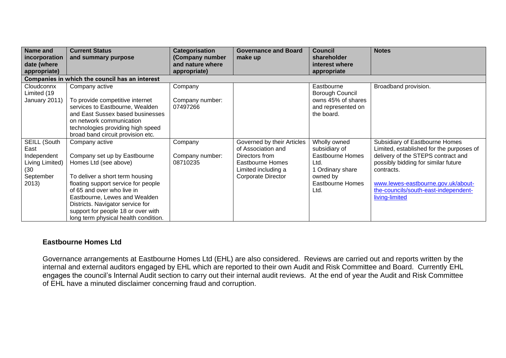| Name and                       | <b>Current Status</b>                                 | Categorisation              | <b>Governance and Board</b>                      | <b>Council</b>                  | <b>Notes</b>                                                              |
|--------------------------------|-------------------------------------------------------|-----------------------------|--------------------------------------------------|---------------------------------|---------------------------------------------------------------------------|
| incorporation                  | and summary purpose                                   | (Company number             | make up                                          | shareholder                     |                                                                           |
| date (where                    |                                                       | and nature where            |                                                  | interest where                  |                                                                           |
| appropriate)                   |                                                       | appropriate)                |                                                  | appropriate                     |                                                                           |
|                                | Companies in which the council has an interest        |                             |                                                  |                                 |                                                                           |
| Cloudconnx                     | Company active                                        | Company                     |                                                  | Eastbourne                      | Broadband provision.                                                      |
| Limited (19                    |                                                       |                             |                                                  | Borough Council                 |                                                                           |
| January 2011)                  | To provide competitive internet                       | Company number:             |                                                  | owns 45% of shares              |                                                                           |
|                                | services to Eastbourne, Wealden                       | 07497266                    |                                                  | and represented on              |                                                                           |
|                                | and East Sussex based businesses                      |                             |                                                  | the board.                      |                                                                           |
|                                | on network communication                              |                             |                                                  |                                 |                                                                           |
|                                | technologies providing high speed                     |                             |                                                  |                                 |                                                                           |
|                                | broad band circuit provision etc.                     |                             |                                                  |                                 |                                                                           |
| SEILL (South                   | Company active                                        | Company                     | Governed by their Articles<br>of Association and | Wholly owned                    | Subsidiary of Eastbourne Homes                                            |
| East                           |                                                       |                             |                                                  | subsidiary of                   | Limited, established for the purposes of                                  |
| Independent<br>Living Limited) | Company set up by Eastbourne<br>Homes Ltd (see above) | Company number:<br>08710235 | Directors from<br>Eastbourne Homes               | <b>Eastbourne Homes</b><br>Ltd. | delivery of the STEPS contract and<br>possibly bidding for similar future |
| (30)                           |                                                       |                             | Limited including a                              | 1 Ordinary share                | contracts.                                                                |
| September                      | To deliver a short term housing                       |                             | Corporate Director                               | owned by                        |                                                                           |
| 2013)                          | floating support service for people                   |                             |                                                  | <b>Eastbourne Homes</b>         | www.lewes-eastbourne.gov.uk/about-                                        |
|                                | of 65 and over who live in                            |                             |                                                  | Ltd.                            | the-councils/south-east-independent-                                      |
|                                | Eastbourne, Lewes and Wealden                         |                             |                                                  |                                 | living-limited                                                            |
|                                | Districts. Navigator service for                      |                             |                                                  |                                 |                                                                           |
|                                | support for people 18 or over with                    |                             |                                                  |                                 |                                                                           |
|                                | long term physical health condition.                  |                             |                                                  |                                 |                                                                           |

#### **Eastbourne Homes Ltd**

Governance arrangements at Eastbourne Homes Ltd (EHL) are also considered. Reviews are carried out and reports written by the internal and external auditors engaged by EHL which are reported to their own Audit and Risk Committee and Board. Currently EHL engages the council's Internal Audit section to carry out their internal audit reviews. At the end of year the Audit and Risk Committee of EHL have a minuted disclaimer concerning fraud and corruption.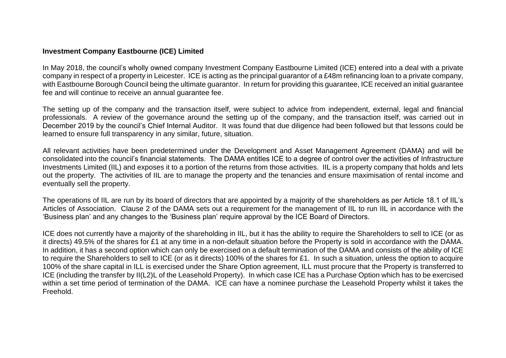#### **Investment Company Eastbourne (ICE) Limited**

In May 2018, the council's wholly owned company Investment Company Eastbourne Limited (ICE) entered into a deal with a private company in respect of a property in Leicester. ICE is acting as the principal guarantor of a £48m refinancing loan to a private company, with Eastbourne Borough Council being the ultimate guarantor. In return for providing this guarantee, ICE received an initial guarantee fee and will continue to receive an annual guarantee fee.

The setting up of the company and the transaction itself, were subject to advice from independent, external, legal and financial professionals. A review of the governance around the setting up of the company, and the transaction itself, was carried out in December 2019 by the council's Chief Internal Auditor. It was found that due diligence had been followed but that lessons could be learned to ensure full transparency in any similar, future, situation.

All relevant activities have been predetermined under the Development and Asset Management Agreement (DAMA) and will be consolidated into the council's financial statements. The DAMA entitles ICE to a degree of control over the activities of Infrastructure Investments Limited (IIL) and exposes it to a portion of the returns from those activities. IIL is a property company that holds and lets out the property. The activities of IIL are to manage the property and the tenancies and ensure maximisation of rental income and eventually sell the property.

The operations of IIL are run by its board of directors that are appointed by a majority of the shareholders as per Article 18.1 of IIL's Articles of Association. Clause 2 of the DAMA sets out a requirement for the management of IIL to run IIL in accordance with the 'Business plan' and any changes to the 'Business plan' require approval by the ICE Board of Directors.

ICE does not currently have a majority of the shareholding in IIL, but it has the ability to require the Shareholders to sell to ICE (or as it directs) 49.5% of the shares for £1 at any time in a non-default situation before the Property is sold in accordance with the DAMA. In addition, it has a second option which can only be exercised on a default termination of the DAMA and consists of the ability of ICE to require the Shareholders to sell to ICE (or as it directs) 100% of the shares for £1. In such a situation, unless the option to acquire 100% of the share capital in ILL is exercised under the Share Option agreement, ILL must procure that the Property is transferred to ICE (including the transfer by II(L2)L of the Leasehold Property). In which case ICE has a Purchase Option which has to be exercised within a set time period of termination of the DAMA. ICE can have a nominee purchase the Leasehold Property whilst it takes the Freehold.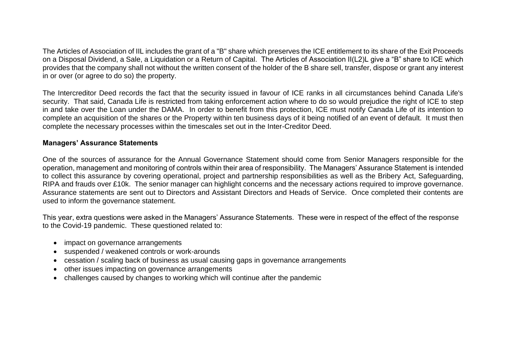The Articles of Association of IIL includes the grant of a "B" share which preserves the ICE entitlement to its share of the Exit Proceeds on a Disposal Dividend, a Sale, a Liquidation or a Return of Capital. The Articles of Association II(L2)L give a "B" share to ICE which provides that the company shall not without the written consent of the holder of the B share sell, transfer, dispose or grant any interest in or over (or agree to do so) the property.

The Intercreditor Deed records the fact that the security issued in favour of ICE ranks in all circumstances behind Canada Life's security. That said, Canada Life is restricted from taking enforcement action where to do so would prejudice the right of ICE to step in and take over the Loan under the DAMA. In order to benefit from this protection, ICE must notify Canada Life of its intention to complete an acquisition of the shares or the Property within ten business days of it being notified of an event of default. It must then complete the necessary processes within the timescales set out in the Inter-Creditor Deed.

#### **Managers' Assurance Statements**

One of the sources of assurance for the Annual Governance Statement should come from Senior Managers responsible for the operation, management and monitoring of controls within their area of responsibility. The Managers' Assurance Statement is intended to collect this assurance by covering operational, project and partnership responsibilities as well as the Bribery Act, Safeguarding, RIPA and frauds over £10k. The senior manager can highlight concerns and the necessary actions required to improve governance. Assurance statements are sent out to Directors and Assistant Directors and Heads of Service. Once completed their contents are used to inform the governance statement.

This year, extra questions were asked in the Managers' Assurance Statements. These were in respect of the effect of the response to the Covid-19 pandemic. These questioned related to:

- impact on governance arrangements
- suspended / weakened controls or work-arounds
- cessation / scaling back of business as usual causing gaps in governance arrangements
- other issues impacting on governance arrangements
- challenges caused by changes to working which will continue after the pandemic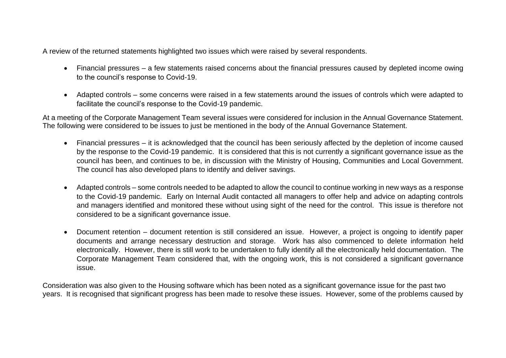A review of the returned statements highlighted two issues which were raised by several respondents.

- Financial pressures a few statements raised concerns about the financial pressures caused by depleted income owing to the council's response to Covid-19.
- Adapted controls some concerns were raised in a few statements around the issues of controls which were adapted to facilitate the council's response to the Covid-19 pandemic.

At a meeting of the Corporate Management Team several issues were considered for inclusion in the Annual Governance Statement. The following were considered to be issues to just be mentioned in the body of the Annual Governance Statement.

- Financial pressures it is acknowledged that the council has been seriously affected by the depletion of income caused by the response to the Covid-19 pandemic. It is considered that this is not currently a significant governance issue as the council has been, and continues to be, in discussion with the Ministry of Housing, Communities and Local Government. The council has also developed plans to identify and deliver savings.
- Adapted controls some controls needed to be adapted to allow the council to continue working in new ways as a response to the Covid-19 pandemic. Early on Internal Audit contacted all managers to offer help and advice on adapting controls and managers identified and monitored these without using sight of the need for the control. This issue is therefore not considered to be a significant governance issue.
- Document retention document retention is still considered an issue. However, a project is ongoing to identify paper documents and arrange necessary destruction and storage. Work has also commenced to delete information held electronically. However, there is still work to be undertaken to fully identify all the electronically held documentation. The Corporate Management Team considered that, with the ongoing work, this is not considered a significant governance issue.

Consideration was also given to the Housing software which has been noted as a significant governance issue for the past two years. It is recognised that significant progress has been made to resolve these issues. However, some of the problems caused by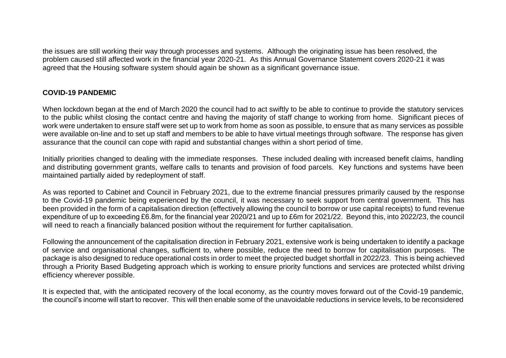the issues are still working their way through processes and systems. Although the originating issue has been resolved, the problem caused still affected work in the financial year 2020-21. As this Annual Governance Statement covers 2020-21 it was agreed that the Housing software system should again be shown as a significant governance issue.

#### **COVID-19 PANDEMIC**

When lockdown began at the end of March 2020 the council had to act swiftly to be able to continue to provide the statutory services to the public whilst closing the contact centre and having the majority of staff change to working from home. Significant pieces of work were undertaken to ensure staff were set up to work from home as soon as possible, to ensure that as many services as possible were available on-line and to set up staff and members to be able to have virtual meetings through software. The response has given assurance that the council can cope with rapid and substantial changes within a short period of time.

Initially priorities changed to dealing with the immediate responses. These included dealing with increased benefit claims, handling and distributing government grants, welfare calls to tenants and provision of food parcels. Key functions and systems have been maintained partially aided by redeployment of staff.

As was reported to Cabinet and Council in February 2021, due to the extreme financial pressures primarily caused by the response to the Covid-19 pandemic being experienced by the council, it was necessary to seek support from central government. This has been provided in the form of a capitalisation direction (effectively allowing the council to borrow or use capital receipts) to fund revenue expenditure of up to exceeding £6.8m, for the financial year 2020/21 and up to £6m for 2021/22. Beyond this, into 2022/23, the council will need to reach a financially balanced position without the requirement for further capitalisation.

Following the announcement of the capitalisation direction in February 2021, extensive work is being undertaken to identify a package of service and organisational changes, sufficient to, where possible, reduce the need to borrow for capitalisation purposes. The package is also designed to reduce operational costs in order to meet the projected budget shortfall in 2022/23. This is being achieved through a Priority Based Budgeting approach which is working to ensure priority functions and services are protected whilst driving efficiency wherever possible.

It is expected that, with the anticipated recovery of the local economy, as the country moves forward out of the Covid-19 pandemic, the council's income will start to recover. This will then enable some of the unavoidable reductions in service levels, to be reconsidered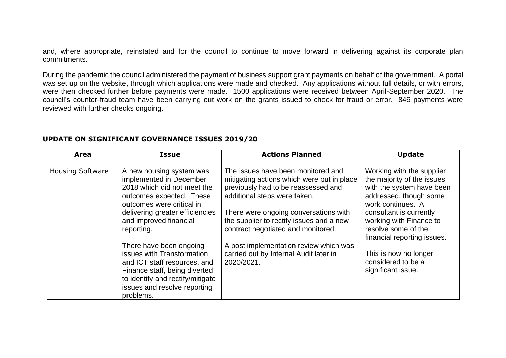and, where appropriate, reinstated and for the council to continue to move forward in delivering against its corporate plan commitments.

During the pandemic the council administered the payment of business support grant payments on behalf of the government. A portal was set up on the website, through which applications were made and checked. Any applications without full details, or with errors, were then checked further before payments were made. 1500 applications were received between April-September 2020. The council's counter-fraud team have been carrying out work on the grants issued to check for fraud or error. 846 payments were reviewed with further checks ongoing.

| Area                    | <b>Issue</b>                                                                                                                                                                                            | <b>Actions Planned</b>                                                                                                                                  | <b>Update</b>                                                                                                                       |
|-------------------------|---------------------------------------------------------------------------------------------------------------------------------------------------------------------------------------------------------|---------------------------------------------------------------------------------------------------------------------------------------------------------|-------------------------------------------------------------------------------------------------------------------------------------|
| <b>Housing Software</b> | A new housing system was<br>implemented in December<br>2018 which did not meet the<br>outcomes expected. These<br>outcomes were critical in                                                             | The issues have been monitored and<br>mitigating actions which were put in place<br>previously had to be reassessed and<br>additional steps were taken. | Working with the supplier<br>the majority of the issues<br>with the system have been<br>addressed, though some<br>work continues. A |
|                         | delivering greater efficiencies<br>and improved financial<br>reporting.                                                                                                                                 | There were ongoing conversations with<br>the supplier to rectify issues and a new<br>contract negotiated and monitored.                                 | consultant is currently<br>working with Finance to<br>resolve some of the<br>financial reporting issues.                            |
|                         | There have been ongoing<br>issues with Transformation<br>and ICT staff resources, and<br>Finance staff, being diverted<br>to identify and rectify/mitigate<br>issues and resolve reporting<br>problems. | A post implementation review which was<br>carried out by Internal Audit later in<br>2020/2021.                                                          | This is now no longer<br>considered to be a<br>significant issue.                                                                   |

#### **UPDATE ON SIGNIFICANT GOVERNANCE ISSUES 2019/20**